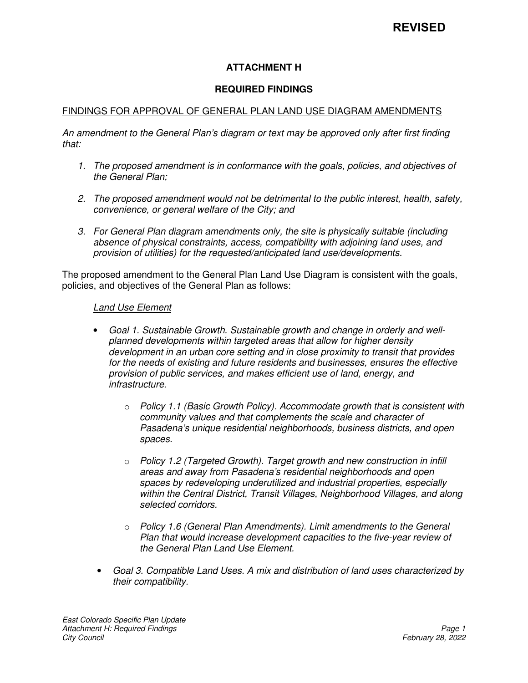## **ATTACHMENT H**

#### **REQUIRED FINDINGS**

#### FINDINGS FOR APPROVAL OF GENERAL PLAN LAND USE DIAGRAM AMENDMENTS

*An amendment to the General Plan's diagram or text may be approved only after first finding that:* 

- *1. The proposed amendment is in conformance with the goals, policies, and objectives of the General Plan;*
- *2. The proposed amendment would not be detrimental to the public interest, health, safety, convenience, or general welfare of the City; and*
- *3. For General Plan diagram amendments only, the site is physically suitable (including absence of physical constraints, access, compatibility with adjoining land uses, and provision of utilities) for the requested/anticipated land use/developments.*

The proposed amendment to the General Plan Land Use Diagram is consistent with the goals, policies, and objectives of the General Plan as follows:

#### *Land Use Element*

- *Goal 1. Sustainable Growth. Sustainable growth and change in orderly and wellplanned developments within targeted areas that allow for higher density development in an urban core setting and in close proximity to transit that provides for the needs of existing and future residents and businesses, ensures the effective provision of public services, and makes efficient use of land, energy, and infrastructure.*
	- o *Policy 1.1 (Basic Growth Policy). Accommodate growth that is consistent with community values and that complements the scale and character of Pasadena's unique residential neighborhoods, business districts, and open spaces.*
	- o *Policy 1.2 (Targeted Growth). Target growth and new construction in infill areas and away from Pasadena's residential neighborhoods and open spaces by redeveloping underutilized and industrial properties, especially within the Central District, Transit Villages, Neighborhood Villages, and along selected corridors.*
	- o *Policy 1.6 (General Plan Amendments). Limit amendments to the General Plan that would increase development capacities to the five-year review of the General Plan Land Use Element.*
	- *Goal 3. Compatible Land Uses. A mix and distribution of land uses characterized by their compatibility.*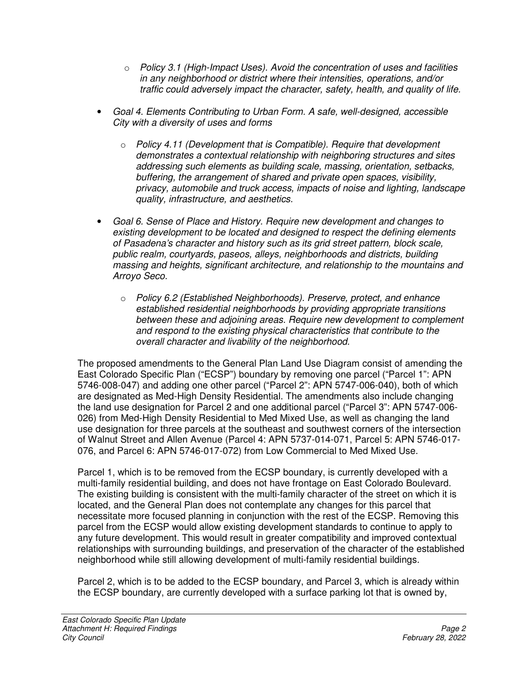- o *Policy 3.1 (High-Impact Uses). Avoid the concentration of uses and facilities in any neighborhood or district where their intensities, operations, and/or traffic could adversely impact the character, safety, health, and quality of life.*
- *Goal 4. Elements Contributing to Urban Form. A safe, well-designed, accessible City with a diversity of uses and forms* 
	- o *Policy 4.11 (Development that is Compatible). Require that development demonstrates a contextual relationship with neighboring structures and sites addressing such elements as building scale, massing, orientation, setbacks, buffering, the arrangement of shared and private open spaces, visibility, privacy, automobile and truck access, impacts of noise and lighting, landscape quality, infrastructure, and aesthetics.*
- *Goal 6. Sense of Place and History. Require new development and changes to existing development to be located and designed to respect the defining elements of Pasadena's character and history such as its grid street pattern, block scale, public realm, courtyards, paseos, alleys, neighborhoods and districts, building massing and heights, significant architecture, and relationship to the mountains and Arroyo Seco.* 
	- o *Policy 6.2 (Established Neighborhoods). Preserve, protect, and enhance established residential neighborhoods by providing appropriate transitions between these and adjoining areas. Require new development to complement and respond to the existing physical characteristics that contribute to the overall character and livability of the neighborhood.*

The proposed amendments to the General Plan Land Use Diagram consist of amending the East Colorado Specific Plan ("ECSP") boundary by removing one parcel ("Parcel 1": APN 5746-008-047) and adding one other parcel ("Parcel 2": APN 5747-006-040), both of which are designated as Med-High Density Residential. The amendments also include changing the land use designation for Parcel 2 and one additional parcel ("Parcel 3": APN 5747-006- 026) from Med-High Density Residential to Med Mixed Use, as well as changing the land use designation for three parcels at the southeast and southwest corners of the intersection of Walnut Street and Allen Avenue (Parcel 4: APN 5737-014-071, Parcel 5: APN 5746-017- 076, and Parcel 6: APN 5746-017-072) from Low Commercial to Med Mixed Use.

Parcel 1, which is to be removed from the ECSP boundary, is currently developed with a multi-family residential building, and does not have frontage on East Colorado Boulevard. The existing building is consistent with the multi-family character of the street on which it is located, and the General Plan does not contemplate any changes for this parcel that necessitate more focused planning in conjunction with the rest of the ECSP. Removing this parcel from the ECSP would allow existing development standards to continue to apply to any future development. This would result in greater compatibility and improved contextual relationships with surrounding buildings, and preservation of the character of the established neighborhood while still allowing development of multi-family residential buildings.

Parcel 2, which is to be added to the ECSP boundary, and Parcel 3, which is already within the ECSP boundary, are currently developed with a surface parking lot that is owned by,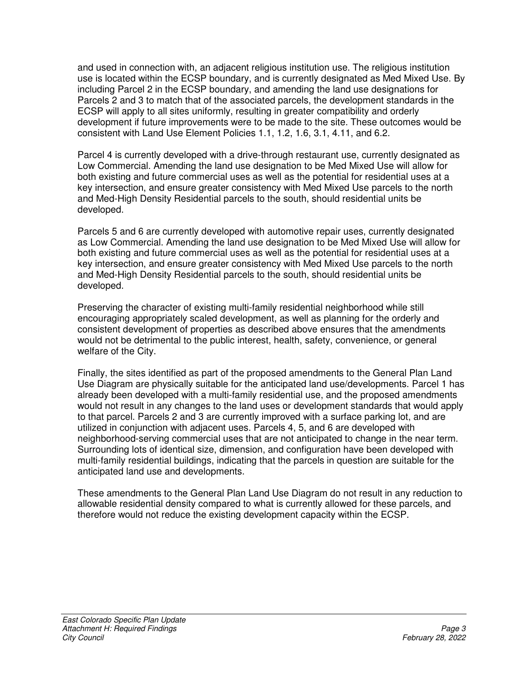and used in connection with, an adjacent religious institution use. The religious institution use is located within the ECSP boundary, and is currently designated as Med Mixed Use. By including Parcel 2 in the ECSP boundary, and amending the land use designations for Parcels 2 and 3 to match that of the associated parcels, the development standards in the ECSP will apply to all sites uniformly, resulting in greater compatibility and orderly development if future improvements were to be made to the site. These outcomes would be consistent with Land Use Element Policies 1.1, 1.2, 1.6, 3.1, 4.11, and 6.2.

Parcel 4 is currently developed with a drive-through restaurant use, currently designated as Low Commercial. Amending the land use designation to be Med Mixed Use will allow for both existing and future commercial uses as well as the potential for residential uses at a key intersection, and ensure greater consistency with Med Mixed Use parcels to the north and Med-High Density Residential parcels to the south, should residential units be developed.

Parcels 5 and 6 are currently developed with automotive repair uses, currently designated as Low Commercial. Amending the land use designation to be Med Mixed Use will allow for both existing and future commercial uses as well as the potential for residential uses at a key intersection, and ensure greater consistency with Med Mixed Use parcels to the north and Med-High Density Residential parcels to the south, should residential units be developed.

Preserving the character of existing multi-family residential neighborhood while still encouraging appropriately scaled development, as well as planning for the orderly and consistent development of properties as described above ensures that the amendments would not be detrimental to the public interest, health, safety, convenience, or general welfare of the City.

Finally, the sites identified as part of the proposed amendments to the General Plan Land Use Diagram are physically suitable for the anticipated land use/developments. Parcel 1 has already been developed with a multi-family residential use, and the proposed amendments would not result in any changes to the land uses or development standards that would apply to that parcel. Parcels 2 and 3 are currently improved with a surface parking lot, and are utilized in conjunction with adjacent uses. Parcels 4, 5, and 6 are developed with neighborhood-serving commercial uses that are not anticipated to change in the near term. Surrounding lots of identical size, dimension, and configuration have been developed with multi-family residential buildings, indicating that the parcels in question are suitable for the anticipated land use and developments.

These amendments to the General Plan Land Use Diagram do not result in any reduction to allowable residential density compared to what is currently allowed for these parcels, and therefore would not reduce the existing development capacity within the ECSP.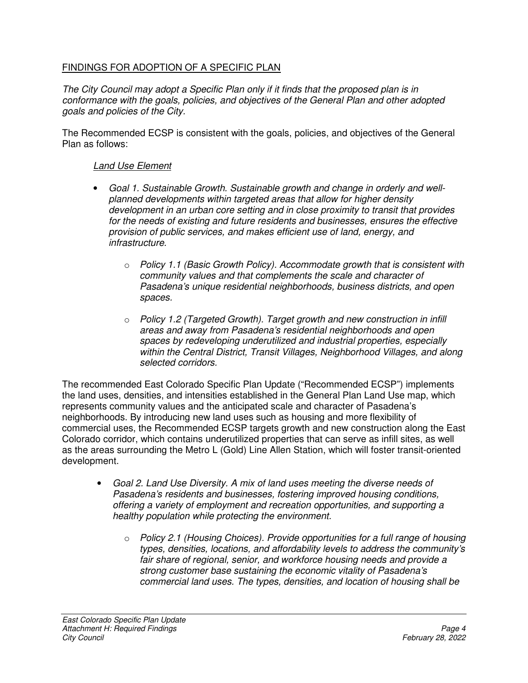## FINDINGS FOR ADOPTION OF A SPECIFIC PLAN

*The City Council may adopt a Specific Plan only if it finds that the proposed plan is in conformance with the goals, policies, and objectives of the General Plan and other adopted goals and policies of the City.* 

The Recommended ECSP is consistent with the goals, policies, and objectives of the General Plan as follows:

#### *Land Use Element*

- *Goal 1. Sustainable Growth. Sustainable growth and change in orderly and wellplanned developments within targeted areas that allow for higher density development in an urban core setting and in close proximity to transit that provides for the needs of existing and future residents and businesses, ensures the effective provision of public services, and makes efficient use of land, energy, and infrastructure.* 
	- o *Policy 1.1 (Basic Growth Policy). Accommodate growth that is consistent with community values and that complements the scale and character of Pasadena's unique residential neighborhoods, business districts, and open spaces.*
	- o *Policy 1.2 (Targeted Growth). Target growth and new construction in infill areas and away from Pasadena's residential neighborhoods and open spaces by redeveloping underutilized and industrial properties, especially within the Central District, Transit Villages, Neighborhood Villages, and along selected corridors.*

The recommended East Colorado Specific Plan Update ("Recommended ECSP") implements the land uses, densities, and intensities established in the General Plan Land Use map, which represents community values and the anticipated scale and character of Pasadena's neighborhoods. By introducing new land uses such as housing and more flexibility of commercial uses, the Recommended ECSP targets growth and new construction along the East Colorado corridor, which contains underutilized properties that can serve as infill sites, as well as the areas surrounding the Metro L (Gold) Line Allen Station, which will foster transit-oriented development.

- *Goal 2. Land Use Diversity. A mix of land uses meeting the diverse needs of Pasadena's residents and businesses, fostering improved housing conditions, offering a variety of employment and recreation opportunities, and supporting a healthy population while protecting the environment.* 
	- o *Policy 2.1 (Housing Choices). Provide opportunities for a full range of housing types, densities, locations, and affordability levels to address the community's fair share of regional, senior, and workforce housing needs and provide a strong customer base sustaining the economic vitality of Pasadena's commercial land uses. The types, densities, and location of housing shall be*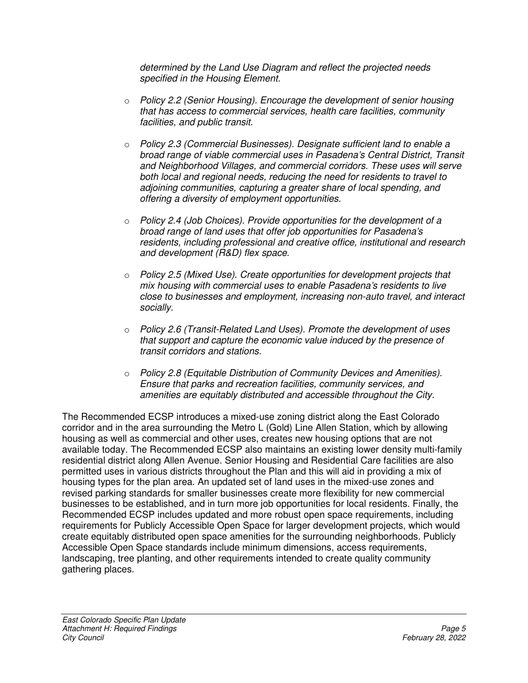*determined by the Land Use Diagram and reflect the projected needs specified in the Housing Element.* 

- o *Policy 2.2 (Senior Housing). Encourage the development of senior housing that has access to commercial services, health care facilities, community facilities, and public transit.*
- o *Policy 2.3 (Commercial Businesses). Designate sufficient land to enable a broad range of viable commercial uses in Pasadena's Central District, Transit and Neighborhood Villages, and commercial corridors. These uses will serve both local and regional needs, reducing the need for residents to travel to adjoining communities, capturing a greater share of local spending, and offering a diversity of employment opportunities.*
- o *Policy 2.4 (Job Choices). Provide opportunities for the development of a broad range of land uses that offer job opportunities for Pasadena's residents, including professional and creative office, institutional and research and development (R&D) flex space.*
- o *Policy 2.5 (Mixed Use). Create opportunities for development projects that mix housing with commercial uses to enable Pasadena's residents to live close to businesses and employment, increasing non-auto travel, and interact socially.*
- o *Policy 2.6 (Transit-Related Land Uses). Promote the development of uses that support and capture the economic value induced by the presence of transit corridors and stations.*
- o *Policy 2.8 (Equitable Distribution of Community Devices and Amenities). Ensure that parks and recreation facilities, community services, and amenities are equitably distributed and accessible throughout the City.*

The Recommended ECSP introduces a mixed-use zoning district along the East Colorado corridor and in the area surrounding the Metro L (Gold) Line Allen Station, which by allowing housing as well as commercial and other uses, creates new housing options that are not available today. The Recommended ECSP also maintains an existing lower density multi-family residential district along Allen Avenue. Senior Housing and Residential Care facilities are also permitted uses in various districts throughout the Plan and this will aid in providing a mix of housing types for the plan area. An updated set of land uses in the mixed-use zones and revised parking standards for smaller businesses create more flexibility for new commercial businesses to be established, and in turn more job opportunities for local residents. Finally, the Recommended ECSP includes updated and more robust open space requirements, including requirements for Publicly Accessible Open Space for larger development projects, which would create equitably distributed open space amenities for the surrounding neighborhoods. Publicly Accessible Open Space standards include minimum dimensions, access requirements, landscaping, tree planting, and other requirements intended to create quality community gathering places.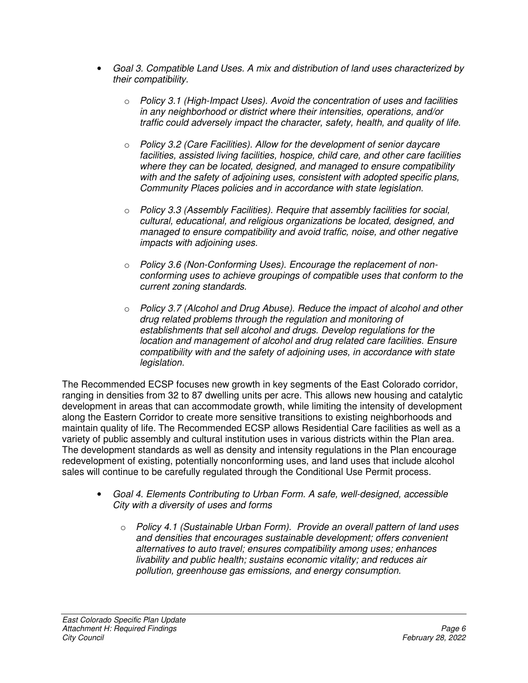- *Goal 3. Compatible Land Uses. A mix and distribution of land uses characterized by their compatibility.* 
	- o *Policy 3.1 (High-Impact Uses). Avoid the concentration of uses and facilities in any neighborhood or district where their intensities, operations, and/or traffic could adversely impact the character, safety, health, and quality of life.*
	- o *Policy 3.2 (Care Facilities). Allow for the development of senior daycare facilities, assisted living facilities, hospice, child care, and other care facilities where they can be located, designed, and managed to ensure compatibility with and the safety of adjoining uses, consistent with adopted specific plans, Community Places policies and in accordance with state legislation.*
	- o *Policy 3.3 (Assembly Facilities). Require that assembly facilities for social, cultural, educational, and religious organizations be located, designed, and managed to ensure compatibility and avoid traffic, noise, and other negative impacts with adjoining uses.*
	- o *Policy 3.6 (Non-Conforming Uses). Encourage the replacement of nonconforming uses to achieve groupings of compatible uses that conform to the current zoning standards.*
	- o *Policy 3.7 (Alcohol and Drug Abuse). Reduce the impact of alcohol and other drug related problems through the regulation and monitoring of establishments that sell alcohol and drugs. Develop regulations for the location and management of alcohol and drug related care facilities. Ensure compatibility with and the safety of adjoining uses, in accordance with state legislation.*

The Recommended ECSP focuses new growth in key segments of the East Colorado corridor, ranging in densities from 32 to 87 dwelling units per acre. This allows new housing and catalytic development in areas that can accommodate growth, while limiting the intensity of development along the Eastern Corridor to create more sensitive transitions to existing neighborhoods and maintain quality of life. The Recommended ECSP allows Residential Care facilities as well as a variety of public assembly and cultural institution uses in various districts within the Plan area. The development standards as well as density and intensity regulations in the Plan encourage redevelopment of existing, potentially nonconforming uses, and land uses that include alcohol sales will continue to be carefully regulated through the Conditional Use Permit process.

- *Goal 4. Elements Contributing to Urban Form. A safe, well-designed, accessible City with a diversity of uses and forms* 
	- o *Policy 4.1 (Sustainable Urban Form). Provide an overall pattern of land uses and densities that encourages sustainable development; offers convenient alternatives to auto travel; ensures compatibility among uses; enhances livability and public health; sustains economic vitality; and reduces air pollution, greenhouse gas emissions, and energy consumption.*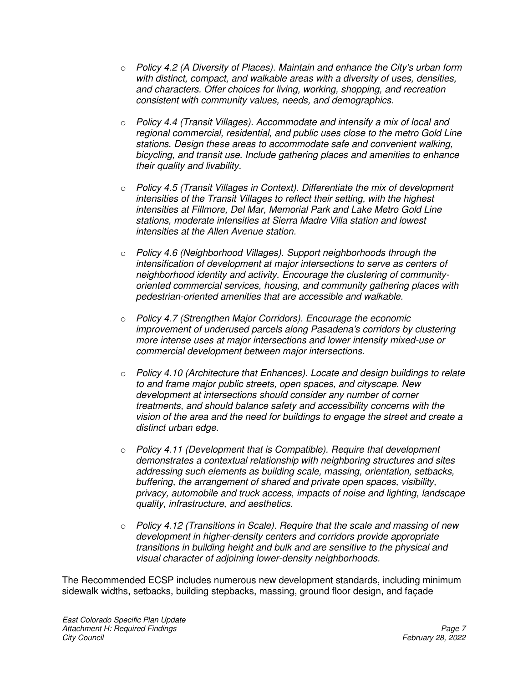- o *Policy 4.2 (A Diversity of Places). Maintain and enhance the City's urban form with distinct, compact, and walkable areas with a diversity of uses, densities, and characters. Offer choices for living, working, shopping, and recreation consistent with community values, needs, and demographics.*
- o *Policy 4.4 (Transit Villages). Accommodate and intensify a mix of local and regional commercial, residential, and public uses close to the metro Gold Line stations. Design these areas to accommodate safe and convenient walking, bicycling, and transit use. Include gathering places and amenities to enhance their quality and livability.*
- o *Policy 4.5 (Transit Villages in Context). Differentiate the mix of development intensities of the Transit Villages to reflect their setting, with the highest intensities at Fillmore, Del Mar, Memorial Park and Lake Metro Gold Line stations, moderate intensities at Sierra Madre Villa station and lowest intensities at the Allen Avenue station.*
- o *Policy 4.6 (Neighborhood Villages). Support neighborhoods through the intensification of development at major intersections to serve as centers of neighborhood identity and activity. Encourage the clustering of communityoriented commercial services, housing, and community gathering places with pedestrian-oriented amenities that are accessible and walkable.*
- o *Policy 4.7 (Strengthen Major Corridors). Encourage the economic improvement of underused parcels along Pasadena's corridors by clustering more intense uses at major intersections and lower intensity mixed-use or commercial development between major intersections.*
- o *Policy 4.10 (Architecture that Enhances). Locate and design buildings to relate to and frame major public streets, open spaces, and cityscape. New development at intersections should consider any number of corner treatments, and should balance safety and accessibility concerns with the vision of the area and the need for buildings to engage the street and create a distinct urban edge.*
- o *Policy 4.11 (Development that is Compatible). Require that development demonstrates a contextual relationship with neighboring structures and sites addressing such elements as building scale, massing, orientation, setbacks, buffering, the arrangement of shared and private open spaces, visibility, privacy, automobile and truck access, impacts of noise and lighting, landscape quality, infrastructure, and aesthetics.*
- o *Policy 4.12 (Transitions in Scale). Require that the scale and massing of new development in higher-density centers and corridors provide appropriate transitions in building height and bulk and are sensitive to the physical and visual character of adjoining lower-density neighborhoods.*

The Recommended ECSP includes numerous new development standards, including minimum sidewalk widths, setbacks, building stepbacks, massing, ground floor design, and façade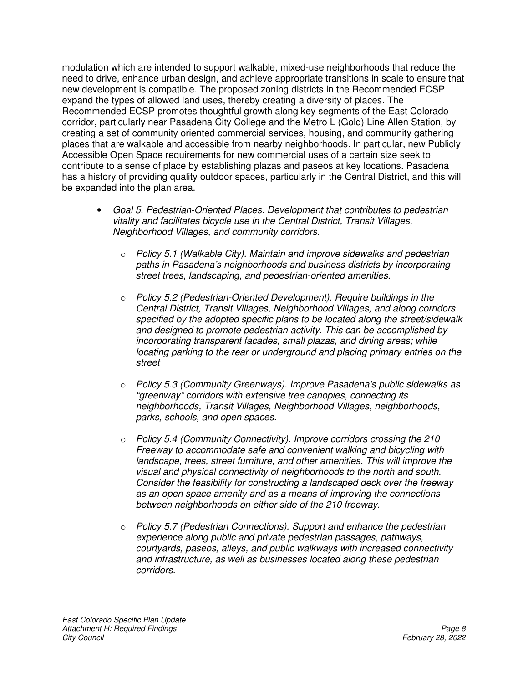modulation which are intended to support walkable, mixed-use neighborhoods that reduce the need to drive, enhance urban design, and achieve appropriate transitions in scale to ensure that new development is compatible. The proposed zoning districts in the Recommended ECSP expand the types of allowed land uses, thereby creating a diversity of places. The Recommended ECSP promotes thoughtful growth along key segments of the East Colorado corridor, particularly near Pasadena City College and the Metro L (Gold) Line Allen Station, by creating a set of community oriented commercial services, housing, and community gathering places that are walkable and accessible from nearby neighborhoods. In particular, new Publicly Accessible Open Space requirements for new commercial uses of a certain size seek to contribute to a sense of place by establishing plazas and paseos at key locations. Pasadena has a history of providing quality outdoor spaces, particularly in the Central District, and this will be expanded into the plan area.

- *Goal 5. Pedestrian-Oriented Places. Development that contributes to pedestrian vitality and facilitates bicycle use in the Central District, Transit Villages, Neighborhood Villages, and community corridors.* 
	- o *Policy 5.1 (Walkable City). Maintain and improve sidewalks and pedestrian paths in Pasadena's neighborhoods and business districts by incorporating street trees, landscaping, and pedestrian-oriented amenities.*
	- o *Policy 5.2 (Pedestrian-Oriented Development). Require buildings in the Central District, Transit Villages, Neighborhood Villages, and along corridors specified by the adopted specific plans to be located along the street/sidewalk and designed to promote pedestrian activity. This can be accomplished by incorporating transparent facades, small plazas, and dining areas; while locating parking to the rear or underground and placing primary entries on the street*
	- o *Policy 5.3 (Community Greenways). Improve Pasadena's public sidewalks as "greenway" corridors with extensive tree canopies, connecting its neighborhoods, Transit Villages, Neighborhood Villages, neighborhoods, parks, schools, and open spaces.*
	- o *Policy 5.4 (Community Connectivity). Improve corridors crossing the 210 Freeway to accommodate safe and convenient walking and bicycling with landscape, trees, street furniture, and other amenities. This will improve the visual and physical connectivity of neighborhoods to the north and south. Consider the feasibility for constructing a landscaped deck over the freeway as an open space amenity and as a means of improving the connections between neighborhoods on either side of the 210 freeway.*
	- o *Policy 5.7 (Pedestrian Connections). Support and enhance the pedestrian experience along public and private pedestrian passages, pathways, courtyards, paseos, alleys, and public walkways with increased connectivity and infrastructure, as well as businesses located along these pedestrian corridors.*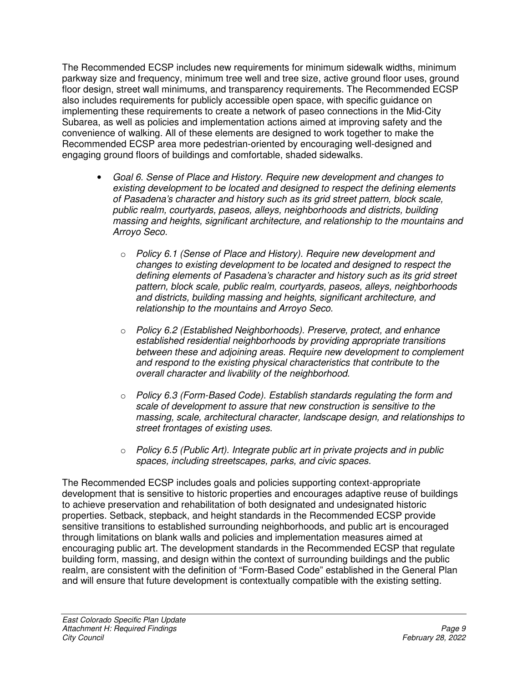The Recommended ECSP includes new requirements for minimum sidewalk widths, minimum parkway size and frequency, minimum tree well and tree size, active ground floor uses, ground floor design, street wall minimums, and transparency requirements. The Recommended ECSP also includes requirements for publicly accessible open space, with specific guidance on implementing these requirements to create a network of paseo connections in the Mid-City Subarea, as well as policies and implementation actions aimed at improving safety and the convenience of walking. All of these elements are designed to work together to make the Recommended ECSP area more pedestrian-oriented by encouraging well-designed and engaging ground floors of buildings and comfortable, shaded sidewalks.

- *Goal 6. Sense of Place and History. Require new development and changes to existing development to be located and designed to respect the defining elements of Pasadena's character and history such as its grid street pattern, block scale, public realm, courtyards, paseos, alleys, neighborhoods and districts, building massing and heights, significant architecture, and relationship to the mountains and Arroyo Seco.* 
	- o *Policy 6.1 (Sense of Place and History). Require new development and changes to existing development to be located and designed to respect the defining elements of Pasadena's character and history such as its grid street pattern, block scale, public realm, courtyards, paseos, alleys, neighborhoods and districts, building massing and heights, significant architecture, and relationship to the mountains and Arroyo Seco.*
	- o *Policy 6.2 (Established Neighborhoods). Preserve, protect, and enhance established residential neighborhoods by providing appropriate transitions between these and adjoining areas. Require new development to complement and respond to the existing physical characteristics that contribute to the overall character and livability of the neighborhood.*
	- o *Policy 6.3 (Form-Based Code). Establish standards regulating the form and scale of development to assure that new construction is sensitive to the massing, scale, architectural character, landscape design, and relationships to street frontages of existing uses.*
	- o *Policy 6.5 (Public Art). Integrate public art in private projects and in public spaces, including streetscapes, parks, and civic spaces.*

The Recommended ECSP includes goals and policies supporting context-appropriate development that is sensitive to historic properties and encourages adaptive reuse of buildings to achieve preservation and rehabilitation of both designated and undesignated historic properties. Setback, stepback, and height standards in the Recommended ECSP provide sensitive transitions to established surrounding neighborhoods, and public art is encouraged through limitations on blank walls and policies and implementation measures aimed at encouraging public art. The development standards in the Recommended ECSP that regulate building form, massing, and design within the context of surrounding buildings and the public realm, are consistent with the definition of "Form-Based Code" established in the General Plan and will ensure that future development is contextually compatible with the existing setting.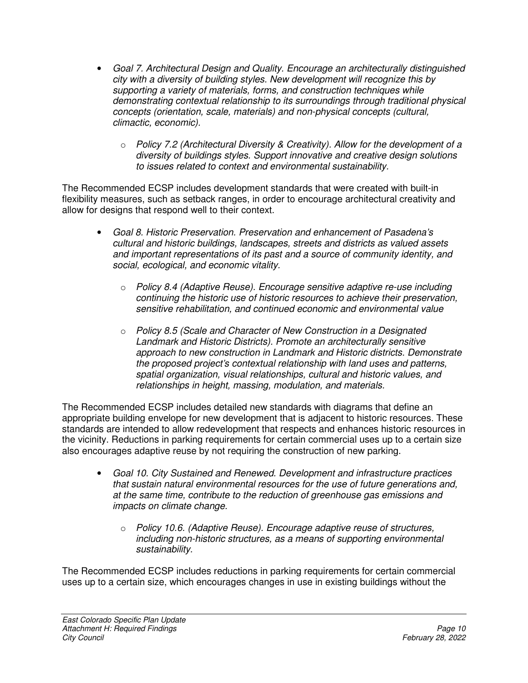- *Goal 7. Architectural Design and Quality. Encourage an architecturally distinguished city with a diversity of building styles. New development will recognize this by supporting a variety of materials, forms, and construction techniques while demonstrating contextual relationship to its surroundings through traditional physical concepts (orientation, scale, materials) and non-physical concepts (cultural, climactic, economic).* 
	- o *Policy 7.2 (Architectural Diversity & Creativity). Allow for the development of a diversity of buildings styles. Support innovative and creative design solutions to issues related to context and environmental sustainability.*

The Recommended ECSP includes development standards that were created with built-in flexibility measures, such as setback ranges, in order to encourage architectural creativity and allow for designs that respond well to their context.

- *Goal 8. Historic Preservation. Preservation and enhancement of Pasadena's cultural and historic buildings, landscapes, streets and districts as valued assets and important representations of its past and a source of community identity, and social, ecological, and economic vitality.* 
	- o *Policy 8.4 (Adaptive Reuse). Encourage sensitive adaptive re-use including continuing the historic use of historic resources to achieve their preservation, sensitive rehabilitation, and continued economic and environmental value*
	- o *Policy 8.5 (Scale and Character of New Construction in a Designated Landmark and Historic Districts). Promote an architecturally sensitive approach to new construction in Landmark and Historic districts. Demonstrate the proposed project's contextual relationship with land uses and patterns, spatial organization, visual relationships, cultural and historic values, and relationships in height, massing, modulation, and materials.*

The Recommended ECSP includes detailed new standards with diagrams that define an appropriate building envelope for new development that is adjacent to historic resources. These standards are intended to allow redevelopment that respects and enhances historic resources in the vicinity. Reductions in parking requirements for certain commercial uses up to a certain size also encourages adaptive reuse by not requiring the construction of new parking.

- *Goal 10. City Sustained and Renewed. Development and infrastructure practices that sustain natural environmental resources for the use of future generations and, at the same time, contribute to the reduction of greenhouse gas emissions and impacts on climate change.* 
	- o *Policy 10.6. (Adaptive Reuse). Encourage adaptive reuse of structures, including non-historic structures, as a means of supporting environmental sustainability.*

The Recommended ECSP includes reductions in parking requirements for certain commercial uses up to a certain size, which encourages changes in use in existing buildings without the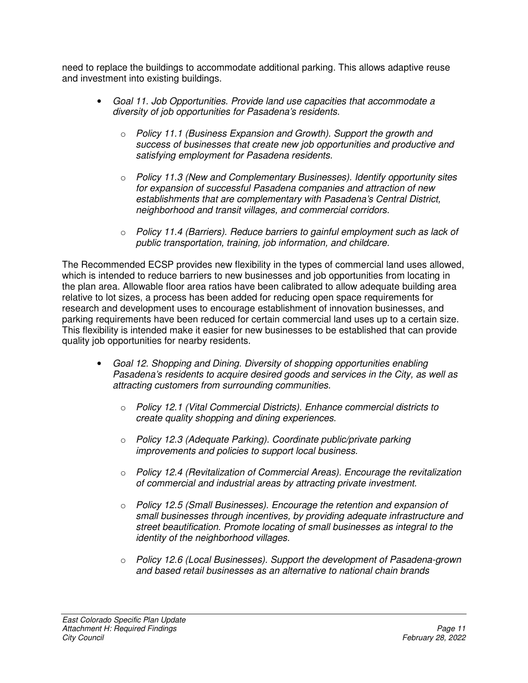need to replace the buildings to accommodate additional parking. This allows adaptive reuse and investment into existing buildings.

- *Goal 11. Job Opportunities. Provide land use capacities that accommodate a diversity of job opportunities for Pasadena's residents.* 
	- o *Policy 11.1 (Business Expansion and Growth). Support the growth and success of businesses that create new job opportunities and productive and satisfying employment for Pasadena residents.*
	- o *Policy 11.3 (New and Complementary Businesses). Identify opportunity sites for expansion of successful Pasadena companies and attraction of new establishments that are complementary with Pasadena's Central District, neighborhood and transit villages, and commercial corridors.*
	- o *Policy 11.4 (Barriers). Reduce barriers to gainful employment such as lack of public transportation, training, job information, and childcare.*

The Recommended ECSP provides new flexibility in the types of commercial land uses allowed, which is intended to reduce barriers to new businesses and job opportunities from locating in the plan area. Allowable floor area ratios have been calibrated to allow adequate building area relative to lot sizes, a process has been added for reducing open space requirements for research and development uses to encourage establishment of innovation businesses, and parking requirements have been reduced for certain commercial land uses up to a certain size. This flexibility is intended make it easier for new businesses to be established that can provide quality job opportunities for nearby residents.

- *Goal 12. Shopping and Dining. Diversity of shopping opportunities enabling Pasadena's residents to acquire desired goods and services in the City, as well as attracting customers from surrounding communities.* 
	- o *Policy 12.1 (Vital Commercial Districts). Enhance commercial districts to create quality shopping and dining experiences.*
	- o *Policy 12.3 (Adequate Parking). Coordinate public/private parking improvements and policies to support local business.*
	- o *Policy 12.4 (Revitalization of Commercial Areas). Encourage the revitalization of commercial and industrial areas by attracting private investment.*
	- o *Policy 12.5 (Small Businesses). Encourage the retention and expansion of small businesses through incentives, by providing adequate infrastructure and street beautification. Promote locating of small businesses as integral to the identity of the neighborhood villages.*
	- o *Policy 12.6 (Local Businesses). Support the development of Pasadena-grown and based retail businesses as an alternative to national chain brands*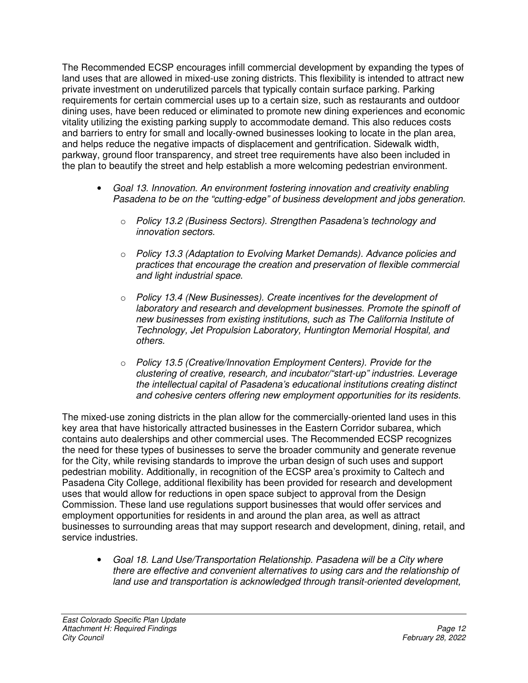The Recommended ECSP encourages infill commercial development by expanding the types of land uses that are allowed in mixed-use zoning districts. This flexibility is intended to attract new private investment on underutilized parcels that typically contain surface parking. Parking requirements for certain commercial uses up to a certain size, such as restaurants and outdoor dining uses, have been reduced or eliminated to promote new dining experiences and economic vitality utilizing the existing parking supply to accommodate demand. This also reduces costs and barriers to entry for small and locally-owned businesses looking to locate in the plan area, and helps reduce the negative impacts of displacement and gentrification. Sidewalk width, parkway, ground floor transparency, and street tree requirements have also been included in the plan to beautify the street and help establish a more welcoming pedestrian environment.

- *Goal 13. Innovation. An environment fostering innovation and creativity enabling Pasadena to be on the "cutting-edge" of business development and jobs generation.* 
	- o *Policy 13.2 (Business Sectors). Strengthen Pasadena's technology and innovation sectors.*
	- o *Policy 13.3 (Adaptation to Evolving Market Demands). Advance policies and practices that encourage the creation and preservation of flexible commercial and light industrial space.*
	- o *Policy 13.4 (New Businesses). Create incentives for the development of laboratory and research and development businesses. Promote the spinoff of new businesses from existing institutions, such as The California Institute of Technology, Jet Propulsion Laboratory, Huntington Memorial Hospital, and others.*
	- o *Policy 13.5 (Creative/Innovation Employment Centers). Provide for the clustering of creative, research, and incubator/"start-up" industries. Leverage the intellectual capital of Pasadena's educational institutions creating distinct and cohesive centers offering new employment opportunities for its residents.*

The mixed-use zoning districts in the plan allow for the commercially-oriented land uses in this key area that have historically attracted businesses in the Eastern Corridor subarea, which contains auto dealerships and other commercial uses. The Recommended ECSP recognizes the need for these types of businesses to serve the broader community and generate revenue for the City, while revising standards to improve the urban design of such uses and support pedestrian mobility. Additionally, in recognition of the ECSP area's proximity to Caltech and Pasadena City College, additional flexibility has been provided for research and development uses that would allow for reductions in open space subject to approval from the Design Commission. These land use regulations support businesses that would offer services and employment opportunities for residents in and around the plan area, as well as attract businesses to surrounding areas that may support research and development, dining, retail, and service industries.

• *Goal 18. Land Use/Transportation Relationship. Pasadena will be a City where there are effective and convenient alternatives to using cars and the relationship of land use and transportation is acknowledged through transit-oriented development,*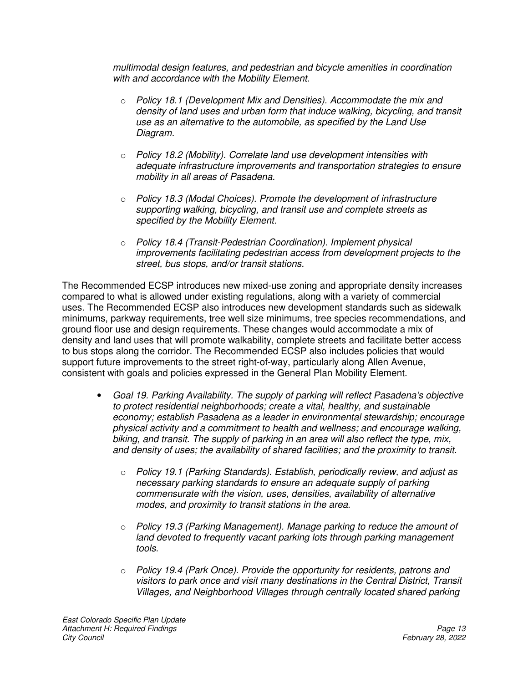*multimodal design features, and pedestrian and bicycle amenities in coordination with and accordance with the Mobility Element.* 

- o *Policy 18.1 (Development Mix and Densities). Accommodate the mix and density of land uses and urban form that induce walking, bicycling, and transit use as an alternative to the automobile, as specified by the Land Use Diagram.*
- o *Policy 18.2 (Mobility). Correlate land use development intensities with adequate infrastructure improvements and transportation strategies to ensure mobility in all areas of Pasadena.*
- o *Policy 18.3 (Modal Choices). Promote the development of infrastructure supporting walking, bicycling, and transit use and complete streets as specified by the Mobility Element.*
- o *Policy 18.4 (Transit-Pedestrian Coordination). Implement physical improvements facilitating pedestrian access from development projects to the street, bus stops, and/or transit stations.*

The Recommended ECSP introduces new mixed-use zoning and appropriate density increases compared to what is allowed under existing regulations, along with a variety of commercial uses. The Recommended ECSP also introduces new development standards such as sidewalk minimums, parkway requirements, tree well size minimums, tree species recommendations, and ground floor use and design requirements. These changes would accommodate a mix of density and land uses that will promote walkability, complete streets and facilitate better access to bus stops along the corridor. The Recommended ECSP also includes policies that would support future improvements to the street right-of-way, particularly along Allen Avenue, consistent with goals and policies expressed in the General Plan Mobility Element.

- *Goal 19. Parking Availability. The supply of parking will reflect Pasadena's objective to protect residential neighborhoods; create a vital, healthy, and sustainable economy; establish Pasadena as a leader in environmental stewardship; encourage physical activity and a commitment to health and wellness; and encourage walking, biking, and transit. The supply of parking in an area will also reflect the type, mix, and density of uses; the availability of shared facilities; and the proximity to transit.* 
	- o *Policy 19.1 (Parking Standards). Establish, periodically review, and adjust as necessary parking standards to ensure an adequate supply of parking commensurate with the vision, uses, densities, availability of alternative modes, and proximity to transit stations in the area.*
	- o *Policy 19.3 (Parking Management). Manage parking to reduce the amount of land devoted to frequently vacant parking lots through parking management tools.*
	- o *Policy 19.4 (Park Once). Provide the opportunity for residents, patrons and visitors to park once and visit many destinations in the Central District, Transit Villages, and Neighborhood Villages through centrally located shared parking*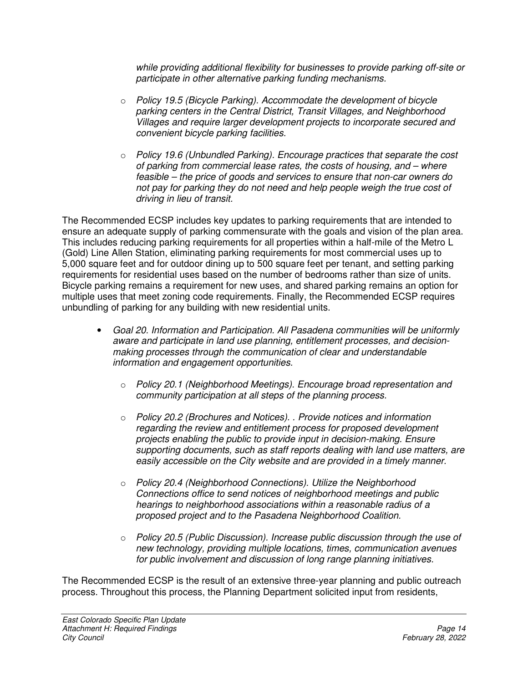*while providing additional flexibility for businesses to provide parking off-site or participate in other alternative parking funding mechanisms.* 

- o *Policy 19.5 (Bicycle Parking). Accommodate the development of bicycle parking centers in the Central District, Transit Villages, and Neighborhood Villages and require larger development projects to incorporate secured and convenient bicycle parking facilities.*
- o *Policy 19.6 (Unbundled Parking). Encourage practices that separate the cost of parking from commercial lease rates, the costs of housing, and – where feasible – the price of goods and services to ensure that non-car owners do not pay for parking they do not need and help people weigh the true cost of driving in lieu of transit.*

The Recommended ECSP includes key updates to parking requirements that are intended to ensure an adequate supply of parking commensurate with the goals and vision of the plan area. This includes reducing parking requirements for all properties within a half-mile of the Metro L (Gold) Line Allen Station, eliminating parking requirements for most commercial uses up to 5,000 square feet and for outdoor dining up to 500 square feet per tenant, and setting parking requirements for residential uses based on the number of bedrooms rather than size of units. Bicycle parking remains a requirement for new uses, and shared parking remains an option for multiple uses that meet zoning code requirements. Finally, the Recommended ECSP requires unbundling of parking for any building with new residential units.

- *Goal 20. Information and Participation. All Pasadena communities will be uniformly aware and participate in land use planning, entitlement processes, and decisionmaking processes through the communication of clear and understandable information and engagement opportunities.* 
	- o *Policy 20.1 (Neighborhood Meetings). Encourage broad representation and community participation at all steps of the planning process.*
	- o *Policy 20.2 (Brochures and Notices). . Provide notices and information regarding the review and entitlement process for proposed development projects enabling the public to provide input in decision-making. Ensure supporting documents, such as staff reports dealing with land use matters, are easily accessible on the City website and are provided in a timely manner.*
	- o *Policy 20.4 (Neighborhood Connections). Utilize the Neighborhood Connections office to send notices of neighborhood meetings and public hearings to neighborhood associations within a reasonable radius of a proposed project and to the Pasadena Neighborhood Coalition.*
	- o *Policy 20.5 (Public Discussion). Increase public discussion through the use of new technology, providing multiple locations, times, communication avenues for public involvement and discussion of long range planning initiatives.*

The Recommended ECSP is the result of an extensive three-year planning and public outreach process. Throughout this process, the Planning Department solicited input from residents,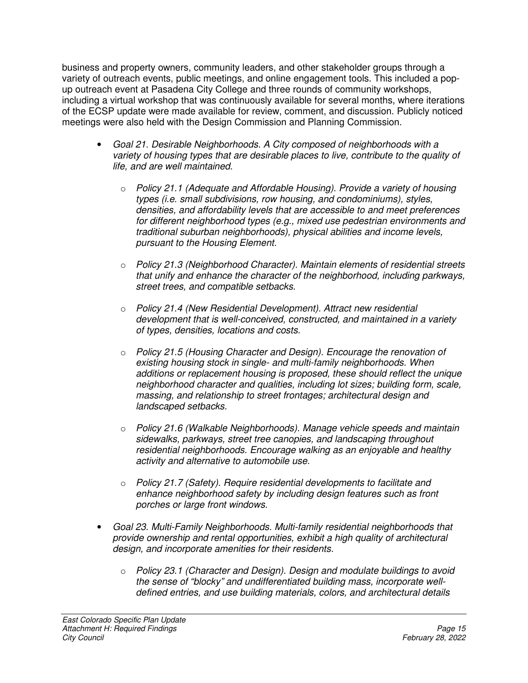business and property owners, community leaders, and other stakeholder groups through a variety of outreach events, public meetings, and online engagement tools. This included a popup outreach event at Pasadena City College and three rounds of community workshops, including a virtual workshop that was continuously available for several months, where iterations of the ECSP update were made available for review, comment, and discussion. Publicly noticed meetings were also held with the Design Commission and Planning Commission.

- *Goal 21. Desirable Neighborhoods. A City composed of neighborhoods with a variety of housing types that are desirable places to live, contribute to the quality of life, and are well maintained.* 
	- o *Policy 21.1 (Adequate and Affordable Housing). Provide a variety of housing types (i.e. small subdivisions, row housing, and condominiums), styles, densities, and affordability levels that are accessible to and meet preferences for different neighborhood types (e.g., mixed use pedestrian environments and traditional suburban neighborhoods), physical abilities and income levels, pursuant to the Housing Element.*
	- o *Policy 21.3 (Neighborhood Character). Maintain elements of residential streets that unify and enhance the character of the neighborhood, including parkways, street trees, and compatible setbacks.*
	- o *Policy 21.4 (New Residential Development). Attract new residential development that is well-conceived, constructed, and maintained in a variety of types, densities, locations and costs.*
	- o *Policy 21.5 (Housing Character and Design). Encourage the renovation of existing housing stock in single- and multi-family neighborhoods. When additions or replacement housing is proposed, these should reflect the unique neighborhood character and qualities, including lot sizes; building form, scale, massing, and relationship to street frontages; architectural design and landscaped setbacks.*
	- o *Policy 21.6 (Walkable Neighborhoods). Manage vehicle speeds and maintain sidewalks, parkways, street tree canopies, and landscaping throughout residential neighborhoods. Encourage walking as an enjoyable and healthy activity and alternative to automobile use.*
	- o *Policy 21.7 (Safety). Require residential developments to facilitate and enhance neighborhood safety by including design features such as front porches or large front windows.*
- *Goal 23. Multi-Family Neighborhoods. Multi-family residential neighborhoods that provide ownership and rental opportunities, exhibit a high quality of architectural design, and incorporate amenities for their residents.* 
	- o *Policy 23.1 (Character and Design). Design and modulate buildings to avoid the sense of "blocky" and undifferentiated building mass, incorporate welldefined entries, and use building materials, colors, and architectural details*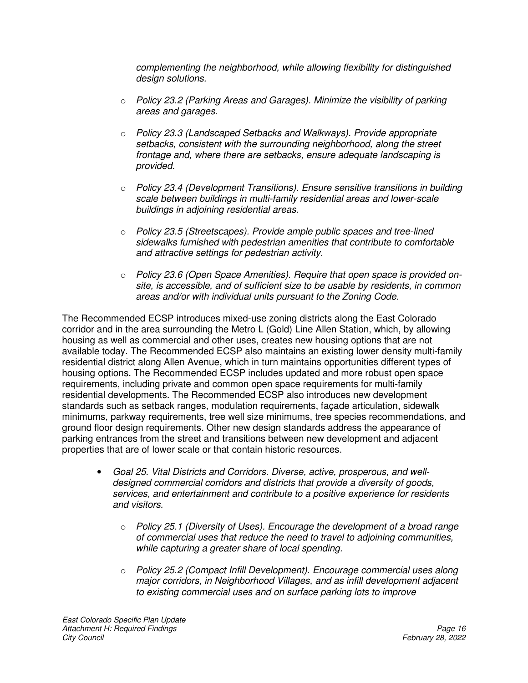*complementing the neighborhood, while allowing flexibility for distinguished design solutions.* 

- o *Policy 23.2 (Parking Areas and Garages). Minimize the visibility of parking areas and garages.*
- o *Policy 23.3 (Landscaped Setbacks and Walkways). Provide appropriate setbacks, consistent with the surrounding neighborhood, along the street frontage and, where there are setbacks, ensure adequate landscaping is provided.*
- o *Policy 23.4 (Development Transitions). Ensure sensitive transitions in building scale between buildings in multi-family residential areas and lower-scale buildings in adjoining residential areas.*
- o *Policy 23.5 (Streetscapes). Provide ample public spaces and tree-lined sidewalks furnished with pedestrian amenities that contribute to comfortable and attractive settings for pedestrian activity.*
- o *Policy 23.6 (Open Space Amenities). Require that open space is provided onsite, is accessible, and of sufficient size to be usable by residents, in common areas and/or with individual units pursuant to the Zoning Code.*

The Recommended ECSP introduces mixed-use zoning districts along the East Colorado corridor and in the area surrounding the Metro L (Gold) Line Allen Station, which, by allowing housing as well as commercial and other uses, creates new housing options that are not available today. The Recommended ECSP also maintains an existing lower density multi-family residential district along Allen Avenue, which in turn maintains opportunities different types of housing options. The Recommended ECSP includes updated and more robust open space requirements, including private and common open space requirements for multi-family residential developments. The Recommended ECSP also introduces new development standards such as setback ranges, modulation requirements, façade articulation, sidewalk minimums, parkway requirements, tree well size minimums, tree species recommendations, and ground floor design requirements. Other new design standards address the appearance of parking entrances from the street and transitions between new development and adjacent properties that are of lower scale or that contain historic resources.

- *Goal 25. Vital Districts and Corridors. Diverse, active, prosperous, and welldesigned commercial corridors and districts that provide a diversity of goods, services, and entertainment and contribute to a positive experience for residents and visitors.* 
	- o *Policy 25.1 (Diversity of Uses). Encourage the development of a broad range of commercial uses that reduce the need to travel to adjoining communities, while capturing a greater share of local spending.*
	- o *Policy 25.2 (Compact Infill Development). Encourage commercial uses along major corridors, in Neighborhood Villages, and as infill development adjacent to existing commercial uses and on surface parking lots to improve*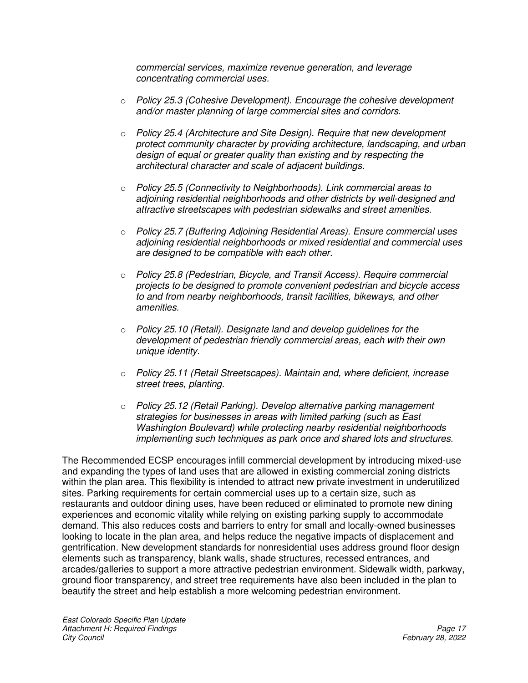*commercial services, maximize revenue generation, and leverage concentrating commercial uses.* 

- o *Policy 25.3 (Cohesive Development). Encourage the cohesive development and/or master planning of large commercial sites and corridors.*
- o *Policy 25.4 (Architecture and Site Design). Require that new development protect community character by providing architecture, landscaping, and urban design of equal or greater quality than existing and by respecting the architectural character and scale of adjacent buildings.*
- o *Policy 25.5 (Connectivity to Neighborhoods). Link commercial areas to adjoining residential neighborhoods and other districts by well-designed and attractive streetscapes with pedestrian sidewalks and street amenities.*
- o *Policy 25.7 (Buffering Adjoining Residential Areas). Ensure commercial uses adjoining residential neighborhoods or mixed residential and commercial uses are designed to be compatible with each other.*
- o *Policy 25.8 (Pedestrian, Bicycle, and Transit Access). Require commercial projects to be designed to promote convenient pedestrian and bicycle access to and from nearby neighborhoods, transit facilities, bikeways, and other amenities.*
- o *Policy 25.10 (Retail). Designate land and develop guidelines for the development of pedestrian friendly commercial areas, each with their own unique identity.*
- o *Policy 25.11 (Retail Streetscapes). Maintain and, where deficient, increase street trees, planting.*
- o *Policy 25.12 (Retail Parking). Develop alternative parking management strategies for businesses in areas with limited parking (such as East Washington Boulevard) while protecting nearby residential neighborhoods implementing such techniques as park once and shared lots and structures.*

The Recommended ECSP encourages infill commercial development by introducing mixed-use and expanding the types of land uses that are allowed in existing commercial zoning districts within the plan area. This flexibility is intended to attract new private investment in underutilized sites. Parking requirements for certain commercial uses up to a certain size, such as restaurants and outdoor dining uses, have been reduced or eliminated to promote new dining experiences and economic vitality while relying on existing parking supply to accommodate demand. This also reduces costs and barriers to entry for small and locally-owned businesses looking to locate in the plan area, and helps reduce the negative impacts of displacement and gentrification. New development standards for nonresidential uses address ground floor design elements such as transparency, blank walls, shade structures, recessed entrances, and arcades/galleries to support a more attractive pedestrian environment. Sidewalk width, parkway, ground floor transparency, and street tree requirements have also been included in the plan to beautify the street and help establish a more welcoming pedestrian environment.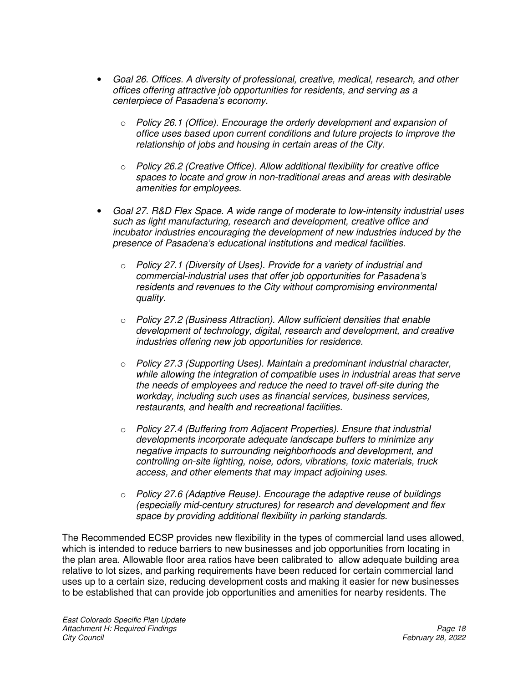- *Goal 26. Offices. A diversity of professional, creative, medical, research, and other offices offering attractive job opportunities for residents, and serving as a centerpiece of Pasadena's economy.* 
	- o *Policy 26.1 (Office). Encourage the orderly development and expansion of office uses based upon current conditions and future projects to improve the relationship of jobs and housing in certain areas of the City.*
	- o *Policy 26.2 (Creative Office). Allow additional flexibility for creative office spaces to locate and grow in non-traditional areas and areas with desirable amenities for employees.*
- *Goal 27. R&D Flex Space. A wide range of moderate to low-intensity industrial uses such as light manufacturing, research and development, creative office and incubator industries encouraging the development of new industries induced by the presence of Pasadena's educational institutions and medical facilities.* 
	- o *Policy 27.1 (Diversity of Uses). Provide for a variety of industrial and commercial-industrial uses that offer job opportunities for Pasadena's residents and revenues to the City without compromising environmental quality.*
	- o *Policy 27.2 (Business Attraction). Allow sufficient densities that enable development of technology, digital, research and development, and creative industries offering new job opportunities for residence.*
	- o *Policy 27.3 (Supporting Uses). Maintain a predominant industrial character, while allowing the integration of compatible uses in industrial areas that serve the needs of employees and reduce the need to travel off-site during the workday, including such uses as financial services, business services, restaurants, and health and recreational facilities.*
	- o *Policy 27.4 (Buffering from Adjacent Properties). Ensure that industrial developments incorporate adequate landscape buffers to minimize any negative impacts to surrounding neighborhoods and development, and controlling on-site lighting, noise, odors, vibrations, toxic materials, truck access, and other elements that may impact adjoining uses.*
	- o *Policy 27.6 (Adaptive Reuse). Encourage the adaptive reuse of buildings (especially mid-century structures) for research and development and flex space by providing additional flexibility in parking standards.*

The Recommended ECSP provides new flexibility in the types of commercial land uses allowed, which is intended to reduce barriers to new businesses and job opportunities from locating in the plan area. Allowable floor area ratios have been calibrated to allow adequate building area relative to lot sizes, and parking requirements have been reduced for certain commercial land uses up to a certain size, reducing development costs and making it easier for new businesses to be established that can provide job opportunities and amenities for nearby residents. The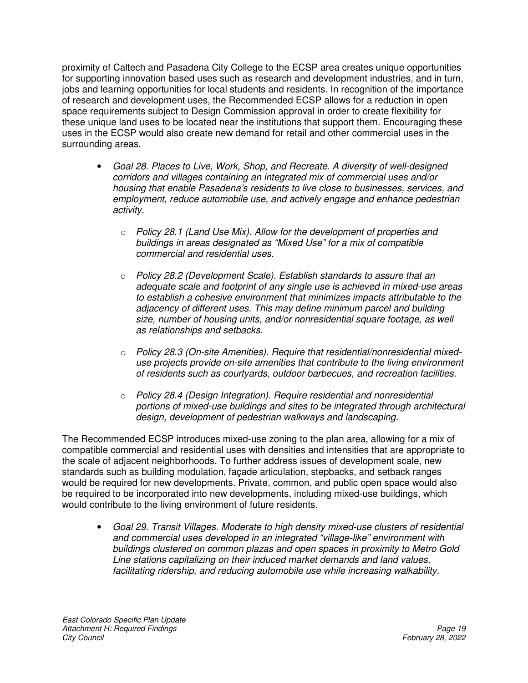proximity of Caltech and Pasadena City College to the ECSP area creates unique opportunities for supporting innovation based uses such as research and development industries, and in turn, jobs and learning opportunities for local students and residents. In recognition of the importance of research and development uses, the Recommended ECSP allows for a reduction in open space requirements subject to Design Commission approval in order to create flexibility for these unique land uses to be located near the institutions that support them. Encouraging these uses in the ECSP would also create new demand for retail and other commercial uses in the surrounding areas.

- *Goal 28. Places to Live, Work, Shop, and Recreate. A diversity of well-designed corridors and villages containing an integrated mix of commercial uses and/or housing that enable Pasadena's residents to live close to businesses, services, and employment, reduce automobile use, and actively engage and enhance pedestrian activity.* 
	- o *Policy 28.1 (Land Use Mix). Allow for the development of properties and buildings in areas designated as "Mixed Use" for a mix of compatible commercial and residential uses.*
	- o *Policy 28.2 (Development Scale). Establish standards to assure that an adequate scale and footprint of any single use is achieved in mixed-use areas to establish a cohesive environment that minimizes impacts attributable to the adjacency of different uses. This may define minimum parcel and building size, number of housing units, and/or nonresidential square footage, as well as relationships and setbacks.*
	- o *Policy 28.3 (On-site Amenities). Require that residential/nonresidential mixeduse projects provide on-site amenities that contribute to the living environment of residents such as courtyards, outdoor barbecues, and recreation facilities.*
	- o *Policy 28.4 (Design Integration). Require residential and nonresidential portions of mixed-use buildings and sites to be integrated through architectural design, development of pedestrian walkways and landscaping.*

The Recommended ECSP introduces mixed-use zoning to the plan area, allowing for a mix of compatible commercial and residential uses with densities and intensities that are appropriate to the scale of adjacent neighborhoods. To further address issues of development scale, new standards such as building modulation, façade articulation, stepbacks, and setback ranges would be required for new developments. Private, common, and public open space would also be required to be incorporated into new developments, including mixed-use buildings, which would contribute to the living environment of future residents.

• *Goal 29. Transit Villages. Moderate to high density mixed-use clusters of residential and commercial uses developed in an integrated "village-like" environment with buildings clustered on common plazas and open spaces in proximity to Metro Gold Line stations capitalizing on their induced market demands and land values, facilitating ridership, and reducing automobile use while increasing walkability.*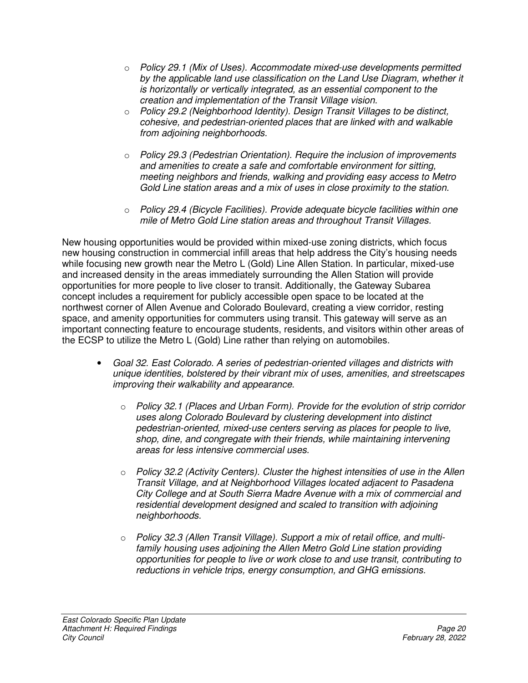- o *Policy 29.1 (Mix of Uses). Accommodate mixed-use developments permitted by the applicable land use classification on the Land Use Diagram, whether it is horizontally or vertically integrated, as an essential component to the creation and implementation of the Transit Village vision.*
- o *Policy 29.2 (Neighborhood Identity). Design Transit Villages to be distinct, cohesive, and pedestrian-oriented places that are linked with and walkable from adjoining neighborhoods.*
- o *Policy 29.3 (Pedestrian Orientation). Require the inclusion of improvements and amenities to create a safe and comfortable environment for sitting, meeting neighbors and friends, walking and providing easy access to Metro Gold Line station areas and a mix of uses in close proximity to the station.*
- o *Policy 29.4 (Bicycle Facilities). Provide adequate bicycle facilities within one mile of Metro Gold Line station areas and throughout Transit Villages.*

New housing opportunities would be provided within mixed-use zoning districts, which focus new housing construction in commercial infill areas that help address the City's housing needs while focusing new growth near the Metro L (Gold) Line Allen Station. In particular, mixed-use and increased density in the areas immediately surrounding the Allen Station will provide opportunities for more people to live closer to transit. Additionally, the Gateway Subarea concept includes a requirement for publicly accessible open space to be located at the northwest corner of Allen Avenue and Colorado Boulevard, creating a view corridor, resting space, and amenity opportunities for commuters using transit. This gateway will serve as an important connecting feature to encourage students, residents, and visitors within other areas of the ECSP to utilize the Metro L (Gold) Line rather than relying on automobiles.

- *Goal 32. East Colorado. A series of pedestrian-oriented villages and districts with unique identities, bolstered by their vibrant mix of uses, amenities, and streetscapes improving their walkability and appearance.* 
	- o *Policy 32.1 (Places and Urban Form). Provide for the evolution of strip corridor uses along Colorado Boulevard by clustering development into distinct pedestrian-oriented, mixed-use centers serving as places for people to live, shop, dine, and congregate with their friends, while maintaining intervening areas for less intensive commercial uses.*
	- o *Policy 32.2 (Activity Centers). Cluster the highest intensities of use in the Allen Transit Village, and at Neighborhood Villages located adjacent to Pasadena City College and at South Sierra Madre Avenue with a mix of commercial and residential development designed and scaled to transition with adjoining neighborhoods.*
	- o *Policy 32.3 (Allen Transit Village). Support a mix of retail office, and multifamily housing uses adjoining the Allen Metro Gold Line station providing opportunities for people to live or work close to and use transit, contributing to reductions in vehicle trips, energy consumption, and GHG emissions.*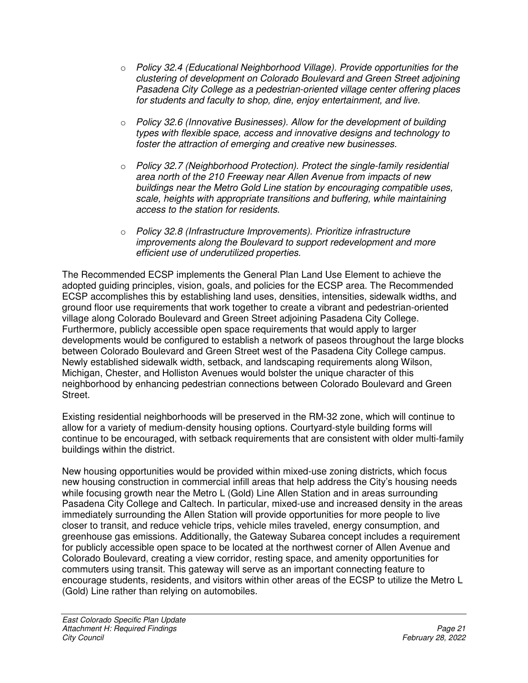- o *Policy 32.4 (Educational Neighborhood Village). Provide opportunities for the clustering of development on Colorado Boulevard and Green Street adjoining Pasadena City College as a pedestrian-oriented village center offering places for students and faculty to shop, dine, enjoy entertainment, and live.*
- o *Policy 32.6 (Innovative Businesses). Allow for the development of building types with flexible space, access and innovative designs and technology to foster the attraction of emerging and creative new businesses.*
- o *Policy 32.7 (Neighborhood Protection). Protect the single-family residential area north of the 210 Freeway near Allen Avenue from impacts of new buildings near the Metro Gold Line station by encouraging compatible uses, scale, heights with appropriate transitions and buffering, while maintaining access to the station for residents.*
- o *Policy 32.8 (Infrastructure Improvements). Prioritize infrastructure improvements along the Boulevard to support redevelopment and more efficient use of underutilized properties.*

The Recommended ECSP implements the General Plan Land Use Element to achieve the adopted guiding principles, vision, goals, and policies for the ECSP area. The Recommended ECSP accomplishes this by establishing land uses, densities, intensities, sidewalk widths, and ground floor use requirements that work together to create a vibrant and pedestrian-oriented village along Colorado Boulevard and Green Street adjoining Pasadena City College. Furthermore, publicly accessible open space requirements that would apply to larger developments would be configured to establish a network of paseos throughout the large blocks between Colorado Boulevard and Green Street west of the Pasadena City College campus. Newly established sidewalk width, setback, and landscaping requirements along Wilson, Michigan, Chester, and Holliston Avenues would bolster the unique character of this neighborhood by enhancing pedestrian connections between Colorado Boulevard and Green Street.

Existing residential neighborhoods will be preserved in the RM-32 zone, which will continue to allow for a variety of medium-density housing options. Courtyard-style building forms will continue to be encouraged, with setback requirements that are consistent with older multi-family buildings within the district.

New housing opportunities would be provided within mixed-use zoning districts, which focus new housing construction in commercial infill areas that help address the City's housing needs while focusing growth near the Metro L (Gold) Line Allen Station and in areas surrounding Pasadena City College and Caltech. In particular, mixed-use and increased density in the areas immediately surrounding the Allen Station will provide opportunities for more people to live closer to transit, and reduce vehicle trips, vehicle miles traveled, energy consumption, and greenhouse gas emissions. Additionally, the Gateway Subarea concept includes a requirement for publicly accessible open space to be located at the northwest corner of Allen Avenue and Colorado Boulevard, creating a view corridor, resting space, and amenity opportunities for commuters using transit. This gateway will serve as an important connecting feature to encourage students, residents, and visitors within other areas of the ECSP to utilize the Metro L (Gold) Line rather than relying on automobiles.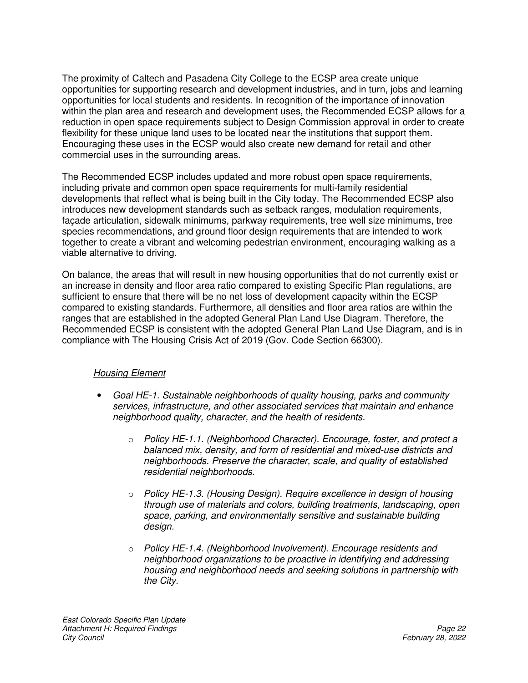The proximity of Caltech and Pasadena City College to the ECSP area create unique opportunities for supporting research and development industries, and in turn, jobs and learning opportunities for local students and residents. In recognition of the importance of innovation within the plan area and research and development uses, the Recommended ECSP allows for a reduction in open space requirements subject to Design Commission approval in order to create flexibility for these unique land uses to be located near the institutions that support them. Encouraging these uses in the ECSP would also create new demand for retail and other commercial uses in the surrounding areas.

The Recommended ECSP includes updated and more robust open space requirements, including private and common open space requirements for multi-family residential developments that reflect what is being built in the City today. The Recommended ECSP also introduces new development standards such as setback ranges, modulation requirements, façade articulation, sidewalk minimums, parkway requirements, tree well size minimums, tree species recommendations, and ground floor design requirements that are intended to work together to create a vibrant and welcoming pedestrian environment, encouraging walking as a viable alternative to driving.

On balance, the areas that will result in new housing opportunities that do not currently exist or an increase in density and floor area ratio compared to existing Specific Plan regulations, are sufficient to ensure that there will be no net loss of development capacity within the ECSP compared to existing standards. Furthermore, all densities and floor area ratios are within the ranges that are established in the adopted General Plan Land Use Diagram. Therefore, the Recommended ECSP is consistent with the adopted General Plan Land Use Diagram, and is in compliance with The Housing Crisis Act of 2019 (Gov. Code Section 66300).

## *Housing Element*

- *Goal HE-1. Sustainable neighborhoods of quality housing, parks and community services, infrastructure, and other associated services that maintain and enhance neighborhood quality, character, and the health of residents.* 
	- o *Policy HE-1.1. (Neighborhood Character). Encourage, foster, and protect a balanced mix, density, and form of residential and mixed-use districts and neighborhoods. Preserve the character, scale, and quality of established residential neighborhoods.*
	- o *Policy HE-1.3. (Housing Design). Require excellence in design of housing through use of materials and colors, building treatments, landscaping, open space, parking, and environmentally sensitive and sustainable building design.*
	- o *Policy HE-1.4. (Neighborhood Involvement). Encourage residents and neighborhood organizations to be proactive in identifying and addressing housing and neighborhood needs and seeking solutions in partnership with the City.*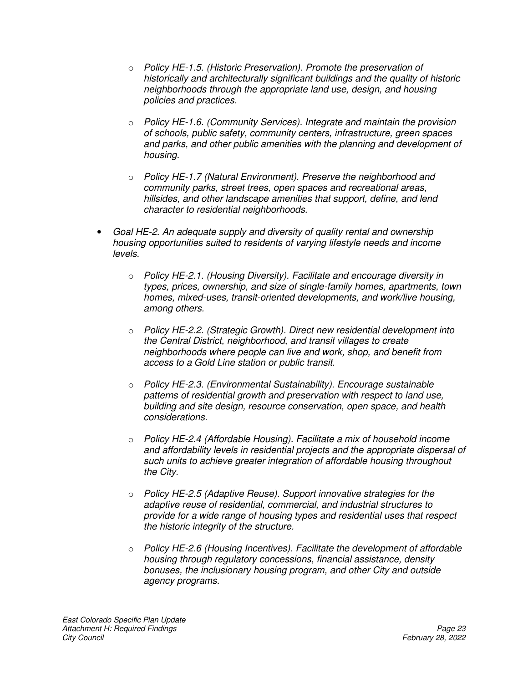- o *Policy HE-1.5. (Historic Preservation). Promote the preservation of historically and architecturally significant buildings and the quality of historic neighborhoods through the appropriate land use, design, and housing policies and practices.*
- o *Policy HE-1.6. (Community Services). Integrate and maintain the provision of schools, public safety, community centers, infrastructure, green spaces and parks, and other public amenities with the planning and development of housing.*
- o *Policy HE-1.7 (Natural Environment). Preserve the neighborhood and community parks, street trees, open spaces and recreational areas, hillsides, and other landscape amenities that support, define, and lend character to residential neighborhoods.*
- *Goal HE-2. An adequate supply and diversity of quality rental and ownership housing opportunities suited to residents of varying lifestyle needs and income levels.* 
	- o *Policy HE-2.1. (Housing Diversity). Facilitate and encourage diversity in types, prices, ownership, and size of single-family homes, apartments, town homes, mixed-uses, transit-oriented developments, and work/live housing, among others.*
	- o *Policy HE-2.2. (Strategic Growth). Direct new residential development into the Central District, neighborhood, and transit villages to create neighborhoods where people can live and work, shop, and benefit from access to a Gold Line station or public transit.*
	- o *Policy HE-2.3. (Environmental Sustainability). Encourage sustainable patterns of residential growth and preservation with respect to land use, building and site design, resource conservation, open space, and health considerations.*
	- o *Policy HE-2.4 (Affordable Housing). Facilitate a mix of household income and affordability levels in residential projects and the appropriate dispersal of such units to achieve greater integration of affordable housing throughout the City.*
	- o *Policy HE-2.5 (Adaptive Reuse). Support innovative strategies for the adaptive reuse of residential, commercial, and industrial structures to provide for a wide range of housing types and residential uses that respect the historic integrity of the structure.*
	- o *Policy HE-2.6 (Housing Incentives). Facilitate the development of affordable housing through regulatory concessions, financial assistance, density bonuses, the inclusionary housing program, and other City and outside agency programs.*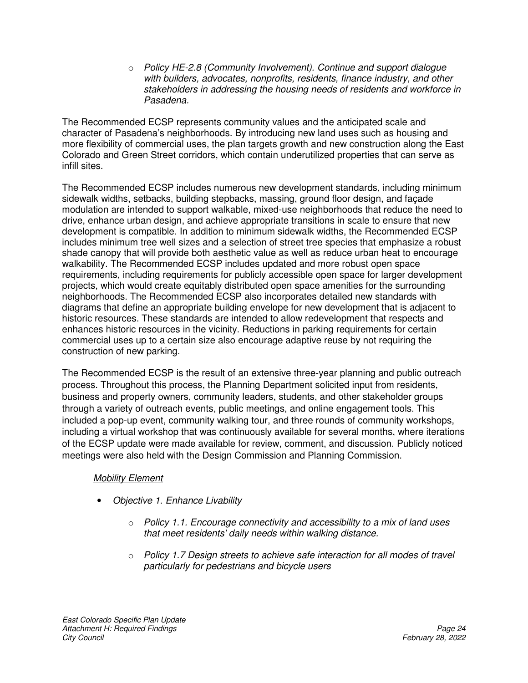o *Policy HE-2.8 (Community Involvement). Continue and support dialogue with builders, advocates, nonprofits, residents, finance industry, and other stakeholders in addressing the housing needs of residents and workforce in Pasadena.* 

The Recommended ECSP represents community values and the anticipated scale and character of Pasadena's neighborhoods. By introducing new land uses such as housing and more flexibility of commercial uses, the plan targets growth and new construction along the East Colorado and Green Street corridors, which contain underutilized properties that can serve as infill sites.

The Recommended ECSP includes numerous new development standards, including minimum sidewalk widths, setbacks, building stepbacks, massing, ground floor design, and façade modulation are intended to support walkable, mixed-use neighborhoods that reduce the need to drive, enhance urban design, and achieve appropriate transitions in scale to ensure that new development is compatible. In addition to minimum sidewalk widths, the Recommended ECSP includes minimum tree well sizes and a selection of street tree species that emphasize a robust shade canopy that will provide both aesthetic value as well as reduce urban heat to encourage walkability. The Recommended ECSP includes updated and more robust open space requirements, including requirements for publicly accessible open space for larger development projects, which would create equitably distributed open space amenities for the surrounding neighborhoods. The Recommended ECSP also incorporates detailed new standards with diagrams that define an appropriate building envelope for new development that is adjacent to historic resources. These standards are intended to allow redevelopment that respects and enhances historic resources in the vicinity. Reductions in parking requirements for certain commercial uses up to a certain size also encourage adaptive reuse by not requiring the construction of new parking.

The Recommended ECSP is the result of an extensive three-year planning and public outreach process. Throughout this process, the Planning Department solicited input from residents, business and property owners, community leaders, students, and other stakeholder groups through a variety of outreach events, public meetings, and online engagement tools. This included a pop-up event, community walking tour, and three rounds of community workshops, including a virtual workshop that was continuously available for several months, where iterations of the ECSP update were made available for review, comment, and discussion. Publicly noticed meetings were also held with the Design Commission and Planning Commission.

## *Mobility Element*

- *Objective 1. Enhance Livability* 
	- o *Policy 1.1. Encourage connectivity and accessibility to a mix of land uses that meet residents' daily needs within walking distance.*
	- o *Policy 1.7 Design streets to achieve safe interaction for all modes of travel particularly for pedestrians and bicycle users*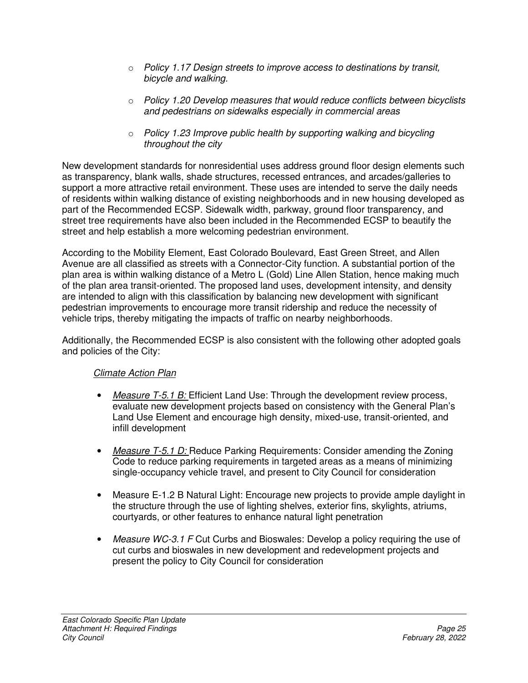- o *Policy 1.17 Design streets to improve access to destinations by transit, bicycle and walking.*
- o *Policy 1.20 Develop measures that would reduce conflicts between bicyclists and pedestrians on sidewalks especially in commercial areas*
- o *Policy 1.23 Improve public health by supporting walking and bicycling throughout the city*

New development standards for nonresidential uses address ground floor design elements such as transparency, blank walls, shade structures, recessed entrances, and arcades/galleries to support a more attractive retail environment. These uses are intended to serve the daily needs of residents within walking distance of existing neighborhoods and in new housing developed as part of the Recommended ECSP. Sidewalk width, parkway, ground floor transparency, and street tree requirements have also been included in the Recommended ECSP to beautify the street and help establish a more welcoming pedestrian environment.

According to the Mobility Element, East Colorado Boulevard, East Green Street, and Allen Avenue are all classified as streets with a Connector-City function. A substantial portion of the plan area is within walking distance of a Metro L (Gold) Line Allen Station, hence making much of the plan area transit-oriented. The proposed land uses, development intensity, and density are intended to align with this classification by balancing new development with significant pedestrian improvements to encourage more transit ridership and reduce the necessity of vehicle trips, thereby mitigating the impacts of traffic on nearby neighborhoods.

Additionally, the Recommended ECSP is also consistent with the following other adopted goals and policies of the City:

# *Climate Action Plan*

- *Measure T-5.1 B:* Efficient Land Use: Through the development review process, evaluate new development projects based on consistency with the General Plan's Land Use Element and encourage high density, mixed-use, transit-oriented, and infill development
- *Measure T-5.1 D:* Reduce Parking Requirements: Consider amending the Zoning Code to reduce parking requirements in targeted areas as a means of minimizing single-occupancy vehicle travel, and present to City Council for consideration
- Measure E-1.2 B Natural Light: Encourage new projects to provide ample daylight in the structure through the use of lighting shelves, exterior fins, skylights, atriums, courtyards, or other features to enhance natural light penetration
- *Measure WC-3.1 F* Cut Curbs and Bioswales: Develop a policy requiring the use of cut curbs and bioswales in new development and redevelopment projects and present the policy to City Council for consideration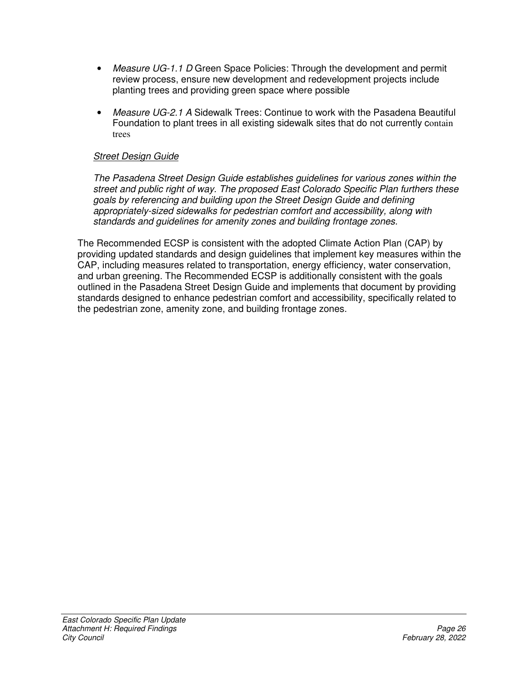- Measure UG-1.1 D Green Space Policies: Through the development and permit review process, ensure new development and redevelopment projects include planting trees and providing green space where possible
- *Measure UG-2.1 A* Sidewalk Trees: Continue to work with the Pasadena Beautiful Foundation to plant trees in all existing sidewalk sites that do not currently contain trees

### *Street Design Guide*

*The Pasadena Street Design Guide establishes guidelines for various zones within the street and public right of way. The proposed East Colorado Specific Plan furthers these goals by referencing and building upon the Street Design Guide and defining appropriately-sized sidewalks for pedestrian comfort and accessibility, along with standards and guidelines for amenity zones and building frontage zones.* 

The Recommended ECSP is consistent with the adopted Climate Action Plan (CAP) by providing updated standards and design guidelines that implement key measures within the CAP, including measures related to transportation, energy efficiency, water conservation, and urban greening. The Recommended ECSP is additionally consistent with the goals outlined in the Pasadena Street Design Guide and implements that document by providing standards designed to enhance pedestrian comfort and accessibility, specifically related to the pedestrian zone, amenity zone, and building frontage zones.